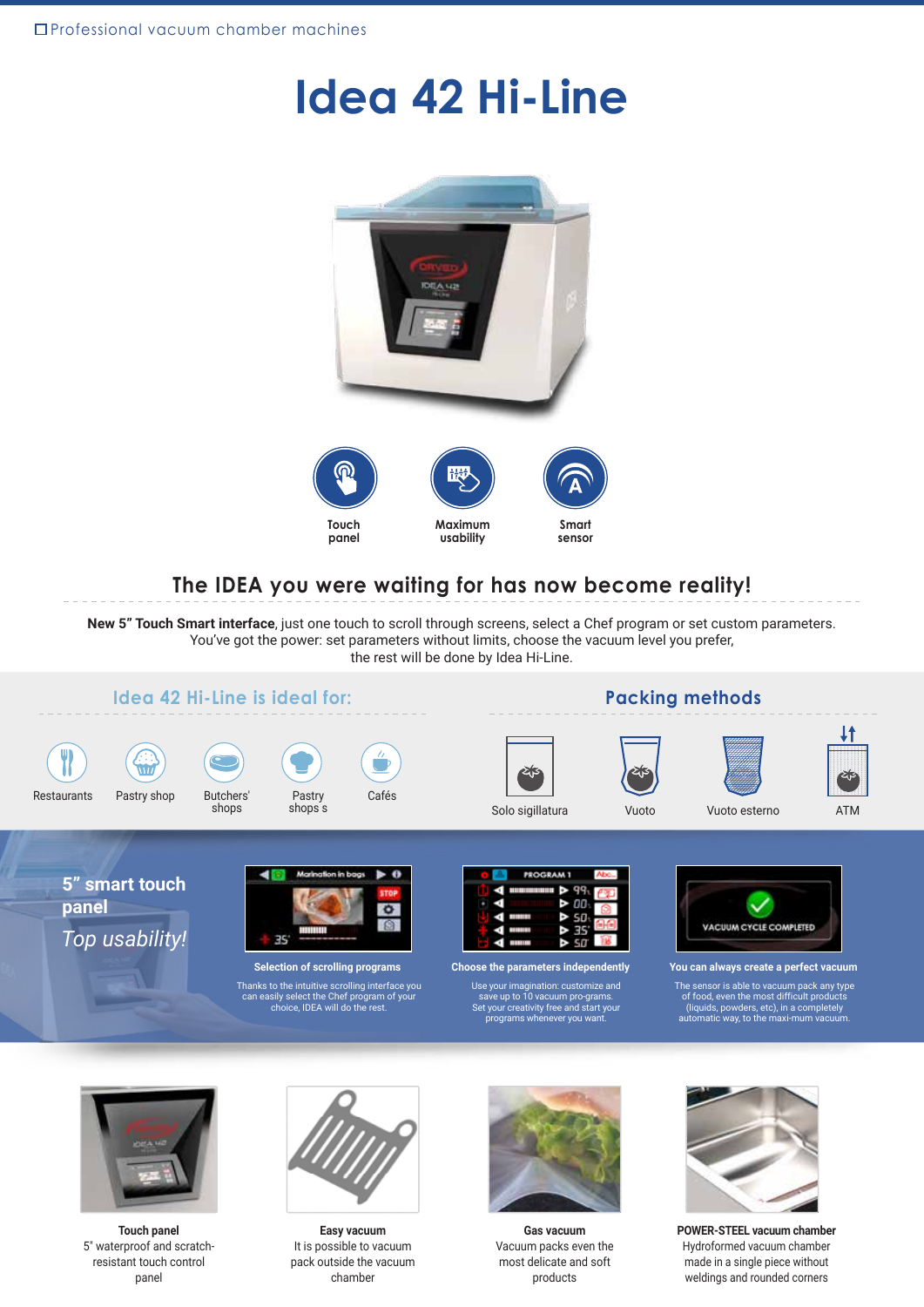# **Idea 42 Hi-Line**





### **The IDEA you were waiting for has now become reality!**

**New 5" Touch Smart interface**, just one touch to scroll through screens, select a Chef program or set custom parameters. You've got the power: set parameters without limits, choose the vacuum level you prefer, the rest will be done by Idea Hi-Line.



The sensor is able to vacuum pack any type of food, even the most difficult products (liquids, powders, etc), in a completely automatic way, to the maxi-mum vacuum.



**Touch panel** 5" waterproof and scratchresistant touch control panel



It is possible to vacuum pack outside the vacuum chamber **Easy vacuum**



**Gas vacuum** Vacuum packs even the most delicate and soft products



**POWER-STEEL vacuum chamber** Hydroformed vacuum chamber made in a single piece without weldings and rounded corners